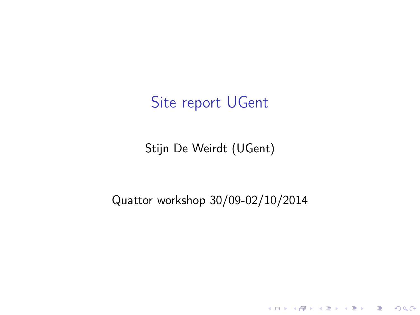## Site report UGent

Stijn De Weirdt (UGent)

Quattor workshop 30/09-02/10/2014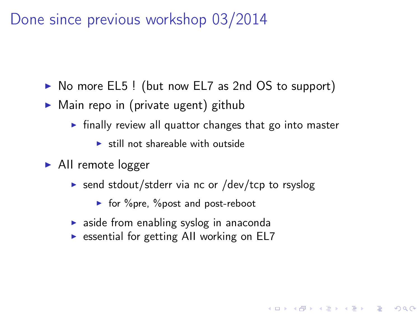Done since previous workshop 03/2014

- ▶ No more EL5! (but now EL7 as 2nd OS to support)
- $\triangleright$  Main repo in (private ugent) github
	- $\triangleright$  finally review all quattor changes that go into master

**KOD CONTRACT A ST AND KOD** 

- $\blacktriangleright$  still not shareable with outside
- $\blacktriangleright$  All remote logger
	- $\triangleright$  send stdout/stderr via nc or /dev/tcp to rsyslog
		- $\blacktriangleright$  for %pre, %post and post-reboot
	- $\triangleright$  aside from enabling syslog in anaconda
	- $\triangleright$  essential for getting AII working on EL7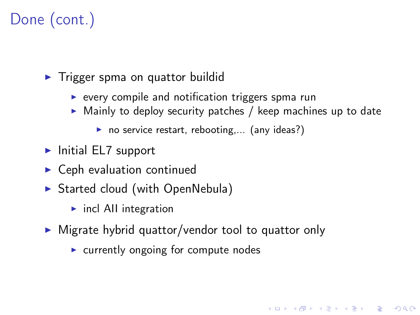# Done (cont.)

 $\blacktriangleright$  Trigger spma on quattor buildid

- $\triangleright$  every compile and notification triggers spma run
- $\triangleright$  Mainly to deploy security patches / keep machines up to date

**KOD CONTRACT A ST AND KOD** 

- no service restart, rebooting,... (any ideas?)
- $\blacktriangleright$  Initial EL7 support
- $\blacktriangleright$  Ceph evaluation continued
- ▶ Started cloud (with OpenNebula)
	- $\blacktriangleright$  incl AII integration
- $\triangleright$  Migrate hybrid quattor/vendor tool to quattor only
	- $\triangleright$  currently ongoing for compute nodes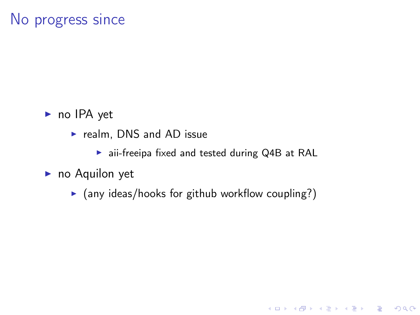#### No progress since

- $\blacktriangleright$  no IPA yet
	- $\blacktriangleright$  realm, DNS and AD issue
		- $\blacktriangleright$  aii-freeipa fixed and tested during Q4B at RAL

- $\blacktriangleright$  no Aquilon yet
	- $\triangleright$  (any ideas/hooks for github workflow coupling?)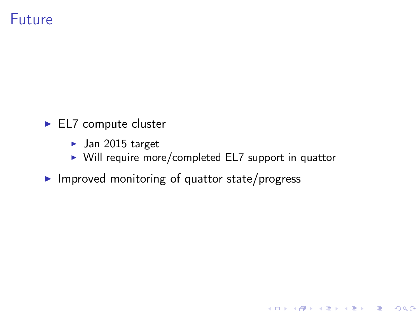### Future

- $\blacktriangleright$  EL7 compute cluster
	- $\blacktriangleright$  Jan 2015 target
	- $\triangleright$  Will require more/completed EL7 support in quattor

 $\blacktriangleright$  Improved monitoring of quattor state/progress